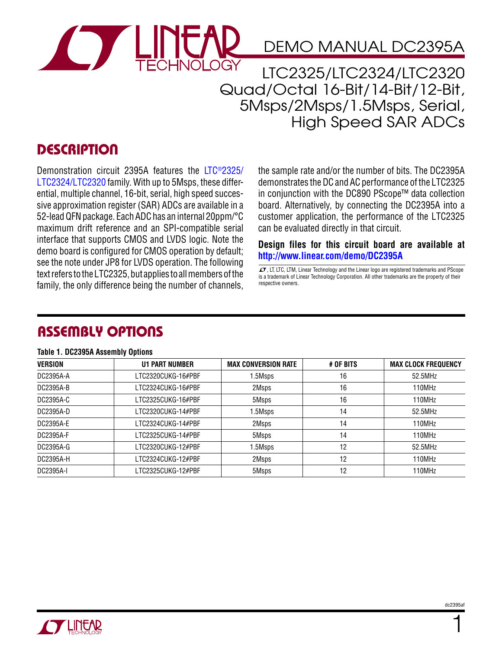

# DEMO MANUAL DC2395A

LTC2325/LTC2324/LTC2320 Quad/Octal 16-Bit/14-Bit/12-Bit, 5Msps/2Msps/1.5Msps, Serial, High Speed SAR ADCs

## **DESCRIPTION**

Demonstration circuit 2395A features the [LTC®2325/](http://www.linear.com/LTC2325) [LTC2324/](http://www.linear.com/LTC2324)[LTC2320](http://www.linear.com/LTC2320) family. With up to 5Msps, these differential, multiple channel, 16-bit, serial, high speed successive approximation register (SAR) ADCs are available in a 52-lead QFN package. Each ADC has an internal 20ppm/°C maximum drift reference and an SPI-compatible serial interface that supports CMOS and LVDS logic. Note the demo board is configured for CMOS operation by default; see the note under JP8 for LVDS operation. The following text refers to the LTC2325, but applies to all members of the family, the only difference being the number of channels, the sample rate and/or the number of bits. The DC2395A demonstrates the DC and AC performance of the LTC2325 in conjunction with the DC890 PScope™ data collection board. Alternatively, by connecting the DC2395A into a customer application, the performance of the LTC2325 can be evaluated directly in that circuit.

**Design files for this circuit board are available at <http://www.linear.com/demo/DC2395A>**

 $I$ , LT, LTC, LTM, Linear Technology and the Linear logo are registered trademarks and PScope is a trademark of Linear Technology Corporation. All other trademarks are the property of their respective owners.

### Assembly Options

#### **Table 1. DC2395A Assembly Options**

| <b>VERSION</b> | <b>U1 PART NUMBER</b> | <b>MAX CONVERSION RATE</b> | # OF BITS | <b>MAX CLOCK FREQUENCY</b> |
|----------------|-----------------------|----------------------------|-----------|----------------------------|
| DC2395A-A      | LTC2320CUKG-16#PBF    | 1.5Msps                    | 16        | 52.5MHz                    |
| DC2395A-B      | LTC2324CUKG-16#PBF    | 2Msps                      | 16        | 110MHz                     |
| DC2395A-C      | LTC2325CUKG-16#PBF    | 5Msps                      | 16        | 110MHz                     |
| DC2395A-D      | LTC2320CUKG-14#PBF    | 1.5Msps                    | 14        | 52.5MHz                    |
| DC2395A-E      | LTC2324CUKG-14#PBF    | 2Msps                      | 14        | 110MHz                     |
| DC2395A-F      | LTC2325CUKG-14#PBF    | 5Msps                      | 14        | 110MHz                     |
| DC2395A-G      | LTC2320CUKG-12#PBF    | 1.5Msps                    | 12        | 52.5MHz                    |
| DC2395A-H      | LTC2324CUKG-12#PBF    | 2Msps                      | 12        | 110MHz                     |
| DC2395A-I      | LTC2325CUKG-12#PBF    | 5Msps                      | 12        | 110MHz                     |

1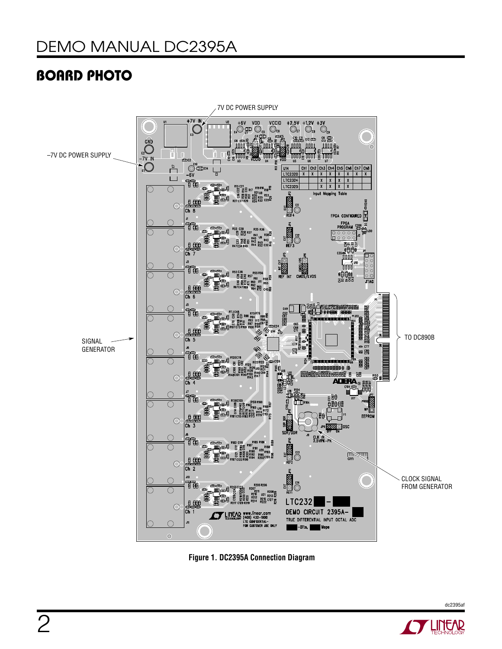# BOARD PHOTO



**Figure 1. DC2395A Connection Diagram**



dc2395af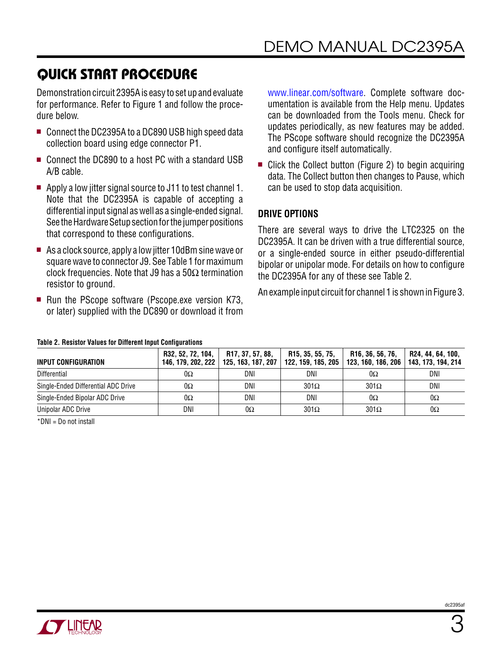# Quick Start Procedure

Demonstration circuit 2395A is easy to set up and evaluate for performance. Refer to Figure 1 and follow the procedure below.

- Connect the DC2395A to a DC890 USB high speed data collection board using edge connector P1.
- Connect the DC890 to a host PC with a standard USB A/B cable.
- $\blacksquare$  Apply a low jitter signal source to J11 to test channel 1. Note that the DC2395A is capable of accepting a differential input signal as well as a single-ended signal. See the Hardware Setup section for the jumper positions that correspond to these configurations.
- As a clock source, apply a low jitter 10dBm sine wave or square wave to connector J9. See Table 1 for maximum clock frequencies. Note that J9 has a 50 $\Omega$  termination resistor to ground.
- $\blacksquare$  Run the PScope software (Pscope.exe version K73, or later) supplied with the DC890 or download it from

[www.linear.com/software](http://www.linear.com/software). Complete software documentation is available from the Help menu. Updates can be downloaded from the Tools menu. Check for updates periodically, as new features may be added. The PScope software should recognize the DC2395A and configure itself automatically.

 $\blacksquare$  Click the Collect button (Figure 2) to begin acquiring data. The Collect button then changes to Pause, which can be used to stop data acquisition.

#### **Drive Options**

There are several ways to drive the LTC2325 on the DC2395A. It can be driven with a true differential source, or a single-ended source in either pseudo-differential bipolar or unipolar mode. For details on how to configure the DC2395A for any of these see Table 2.

An example input circuit for channel 1 is shown in Figure 3.

| TUBIO E. HOORONI TURBOO RI DHIDI ONI MIDUL OOMNUMIQIIDIID |                                         |                                        |                                        |                                        |                                         |  |  |  |
|-----------------------------------------------------------|-----------------------------------------|----------------------------------------|----------------------------------------|----------------------------------------|-----------------------------------------|--|--|--|
| <b>INPUT CONFIGURATION</b>                                | R32, 52, 72, 104,<br>146, 179, 202, 222 | R17, 37, 57, 88,<br>125, 163, 187, 207 | R15, 35, 55, 75,<br>122, 159, 185, 205 | R16, 36, 56, 76,<br>123, 160, 186, 206 | R24, 44, 64, 100,<br>143, 173, 194, 214 |  |  |  |
| <b>Differential</b>                                       | 0Ω                                      | DNI                                    | DNI                                    | $0\Omega$                              | DNI                                     |  |  |  |
| Single-Ended Differential ADC Drive                       | $0\Omega$                               | DNI                                    | $301\Omega$                            | $301\Omega$                            | DNI                                     |  |  |  |
| Single-Ended Bipolar ADC Drive                            | 0Ω                                      | DNI                                    | DNI                                    | $0\Omega$                              | 0Ω                                      |  |  |  |
| Unipolar ADC Drive                                        | DNI                                     | 0Ω                                     | $301\Omega$                            | $301\Omega$                            | 0Ω                                      |  |  |  |

#### **Table 2. Resistor Values for Different Input Configurations**

\*DNI = Do not install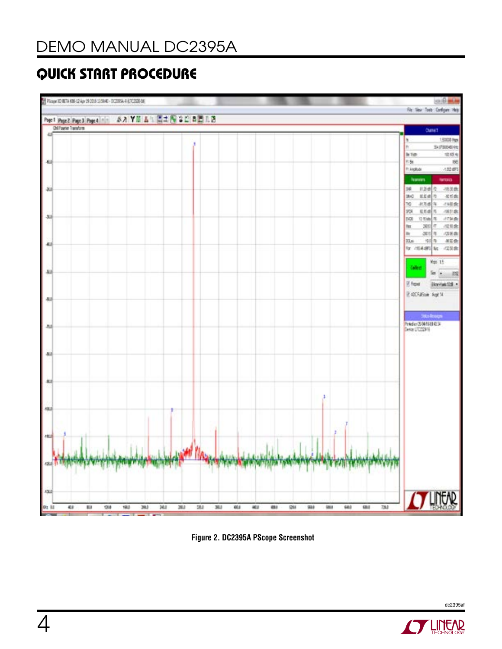# Quick Start Procedure



**Figure 2. DC2395A PScope Screenshot**



dc2395af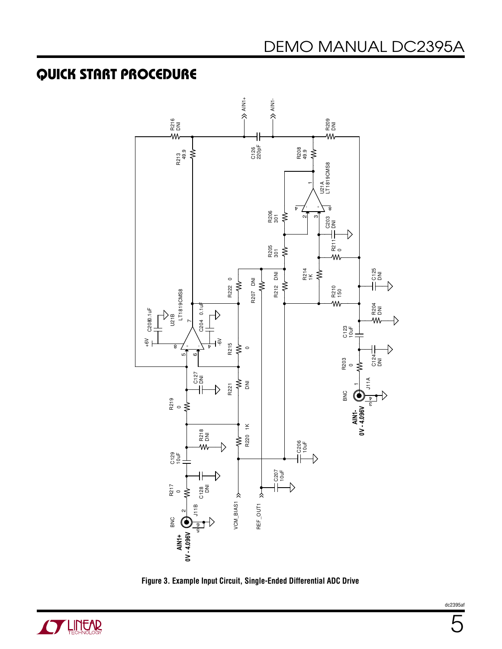## Quick Start Procedure





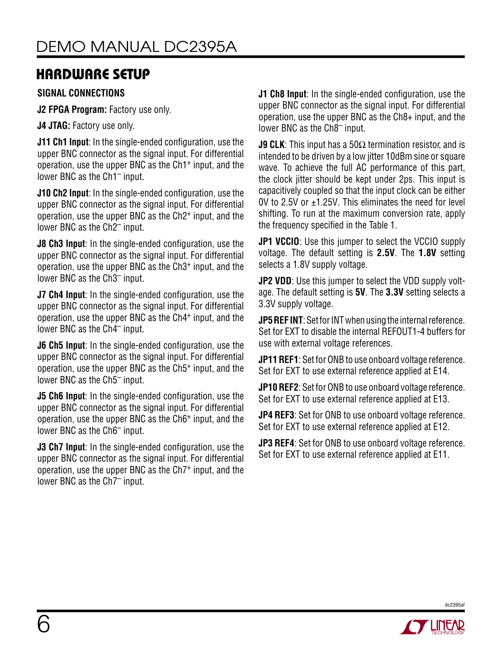## Hardware Setup

#### **SIGNAL Connections**

**J2 FPGA Program:** Factory use only.

**J4 JTAG:** Factory use only.

**J11 Ch1 Input**: In the single-ended configuration, use the upper BNC connector as the signal input. For differential operation, use the upper BNC as the Ch1+ input, and the lower BNC as the Ch1– input.

**J10 Ch2 Input**: In the single-ended configuration, use the upper BNC connector as the signal input. For differential operation, use the upper BNC as the Ch2+ input, and the lower BNC as the Ch2– input.

**J8 Ch3 Input**: In the single-ended configuration, use the upper BNC connector as the signal input. For differential operation, use the upper BNC as the Ch3+ input, and the lower BNC as the Ch3– input.

**J7 Ch4 Input**: In the single-ended configuration, use the upper BNC connector as the signal input. For differential operation, use the upper BNC as the Ch4+ input, and the lower BNC as the Ch4– input.

**J6 Ch5 Input:** In the single-ended configuration, use the upper BNC connector as the signal input. For differential operation, use the upper BNC as the Ch5+ input, and the lower BNC as the Ch5– input.

**J5 Ch6 Input**: In the single-ended configuration, use the upper BNC connector as the signal input. For differential operation, use the upper BNC as the Ch6+ input, and the lower BNC as the Ch6– input.

**J3 Ch7 Input**: In the single-ended configuration, use the upper BNC connector as the signal input. For differential operation, use the upper BNC as the Ch7+ input, and the lower BNC as the Ch7– input.

**J1 Ch8 Input:** In the single-ended configuration, use the upper BNC connector as the signal input. For differential operation, use the upper BNC as the Ch8+ input, and the lower BNC as the Ch8– input.

**J9 CLK**: This input has a 50Ω termination resistor, and is intended to be driven by a low jitter 10dBm sine or square wave. To achieve the full AC performance of this part, the clock jitter should be kept under 2ps. This input is capacitively coupled so that the input clock can be either 0V to 2.5V or ±1.25V. This eliminates the need for level shifting. To run at the maximum conversion rate, apply the frequency specified in the Table 1.

**JP1 VCCIO:** Use this jumper to select the VCCIO supply voltage. The default setting is **2.5V**. The **1.8V** setting selects a 1.8V supply voltage.

**JP2 VDD:** Use this jumper to select the VDD supply voltage. The default setting is **5V**. The **3.3V** setting selects a 3.3V supply voltage.

**JP5 REF INT**: Set for INT when using the internal reference. Set for EXT to disable the internal REFOUT1-4 buffers for use with external voltage references.

**JP11 REF1**: Set for ONB to use onboard voltage reference. Set for EXT to use external reference applied at E14.

**JP10 REF2**: Set for ONB to use onboard voltage reference. Set for EXT to use external reference applied at E13.

**JP4 REF3**: Set for ONB to use onboard voltage reference. Set for EXT to use external reference applied at E12.

**JP3 REF4**: Set for ONB to use onboard voltage reference. Set for EXT to use external reference applied at E11.

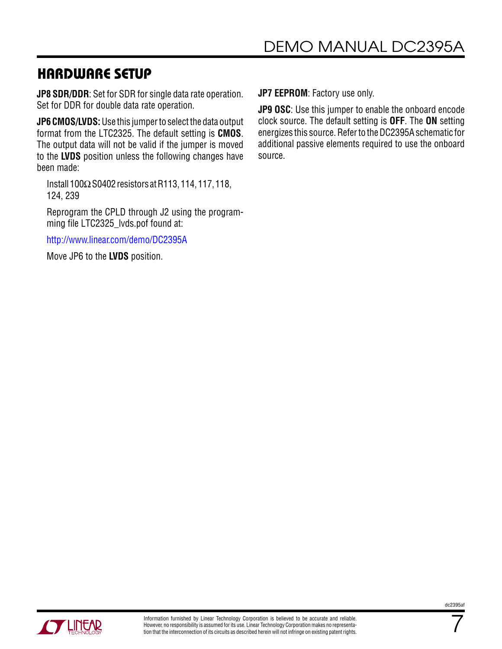### Hardware Setup

**JP8 SDR/DDR**: Set for SDR for single data rate operation. Set for DDR for double data rate operation.

**JP6 CMOS/LVDS:** Use this jumper to select the data output format from the LTC2325. The default setting is **CMOS**. The output data will not be valid if the jumper is moved to the **LVDS** position unless the following changes have been made:

Install 100ΩS0402 resistors at R113, 114, 117, 118, 124, 239

Reprogram the CPLD through J2 using the programming file LTC2325 lvds.pof found at:

<http://www.linear.com/demo/DC2395A>

Move JP6 to the **LVDS** position.

**JP7 EEPROM**: Factory use only.

**JP9 OSC**: Use this jumper to enable the onboard encode clock source. The default setting is **OFF**. The **ON** setting energizes this source. Refer to the DC2395A schematic for additional passive elements required to use the onboard source.



7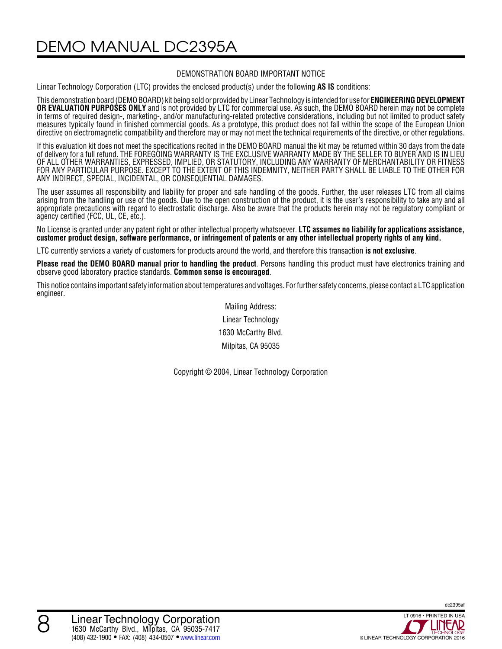DEMO MANUAL DC2395A

#### DEMONSTRATION BOARD IMPORTANT NOTICE

Linear Technology Corporation (LTC) provides the enclosed product(s) under the following **AS IS** conditions:

This demonstration board (DEMO BOARD) kit being sold or provided by Linear Technology is intended for use for **ENGINEERING DEVELOPMENT OR EVALUATION PURPOSES ONLY** and is not provided by LTC for commercial use. As such, the DEMO BOARD herein may not be complete in terms of required design-, marketing-, and/or manufacturing-related protective considerations, including but not limited to product safety measures typically found in finished commercial goods. As a prototype, this product does not fall within the scope of the European Union directive on electromagnetic compatibility and therefore may or may not meet the technical requirements of the directive, or other regulations.

If this evaluation kit does not meet the specifications recited in the DEMO BOARD manual the kit may be returned within 30 days from the date of delivery for a full refund. THE FOREGOING WARRANTY IS THE EXCLUSIVE WARRANTY MADE BY THE SELLER TO BUYER AND IS IN LIEU OF ALL OTHER WARRANTIES, EXPRESSED, IMPLIED, OR STATUTORY, INCLUDING ANY WARRANTY OF MERCHANTABILITY OR FITNESS FOR ANY PARTICULAR PURPOSE. EXCEPT TO THE EXTENT OF THIS INDEMNITY, NEITHER PARTY SHALL BE LIABLE TO THE OTHER FOR ANY INDIRECT, SPECIAL, INCIDENTAL, OR CONSEQUENTIAL DAMAGES.

The user assumes all responsibility and liability for proper and safe handling of the goods. Further, the user releases LTC from all claims arising from the handling or use of the goods. Due to the open construction of the product, it is the user's responsibility to take any and all appropriate precautions with regard to electrostatic discharge. Also be aware that the products herein may not be regulatory compliant or agency certified (FCC, UL, CE, etc.).

No License is granted under any patent right or other intellectual property whatsoever. **LTC assumes no liability for applications assistance, customer product design, software performance, or infringement of patents or any other intellectual property rights of any kind.**

LTC currently services a variety of customers for products around the world, and therefore this transaction **is not exclusive**.

**Please read the DEMO BOARD manual prior to handling the product**. Persons handling this product must have electronics training and observe good laboratory practice standards. **Common sense is encouraged**.

This notice contains important safety information about temperatures and voltages. For further safety concerns, please contact a LTC application engineer.

> Mailing Address: Linear Technology 1630 McCarthy Blvd. Milpitas, CA 95035

Copyright © 2004, Linear Technology Corporation